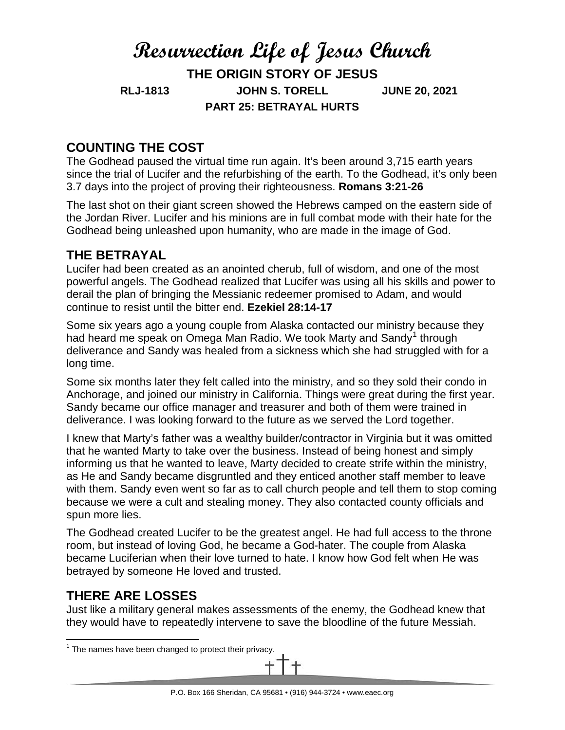# **Resurrection Life of Jesus Church THE ORIGIN STORY OF JESUS RLJ-1813 JOHN S. TORELL JUNE 20, 2021 PART 25: BETRAYAL HURTS**

# **COUNTING THE COST**

The Godhead paused the virtual time run again. It's been around 3,715 earth years since the trial of Lucifer and the refurbishing of the earth. To the Godhead, it's only been 3.7 days into the project of proving their righteousness. **Romans 3:21-26**

The last shot on their giant screen showed the Hebrews camped on the eastern side of the Jordan River. Lucifer and his minions are in full combat mode with their hate for the Godhead being unleashed upon humanity, who are made in the image of God.

## **THE BETRAYAL**

Lucifer had been created as an anointed cherub, full of wisdom, and one of the most powerful angels. The Godhead realized that Lucifer was using all his skills and power to derail the plan of bringing the Messianic redeemer promised to Adam, and would continue to resist until the bitter end. **Ezekiel 28:14-17**

Some six years ago a young couple from Alaska contacted our ministry because they had heard me speak on Omega Man Radio. We took Marty and Sandy<sup>[1](#page-0-0)</sup> through deliverance and Sandy was healed from a sickness which she had struggled with for a long time.

Some six months later they felt called into the ministry, and so they sold their condo in Anchorage, and joined our ministry in California. Things were great during the first year. Sandy became our office manager and treasurer and both of them were trained in deliverance. I was looking forward to the future as we served the Lord together.

I knew that Marty's father was a wealthy builder/contractor in Virginia but it was omitted that he wanted Marty to take over the business. Instead of being honest and simply informing us that he wanted to leave, Marty decided to create strife within the ministry, as He and Sandy became disgruntled and they enticed another staff member to leave with them. Sandy even went so far as to call church people and tell them to stop coming because we were a cult and stealing money. They also contacted county officials and spun more lies.

The Godhead created Lucifer to be the greatest angel. He had full access to the throne room, but instead of loving God, he became a God-hater. The couple from Alaska became Luciferian when their love turned to hate. I know how God felt when He was betrayed by someone He loved and trusted.

## **THERE ARE LOSSES**

Just like a military general makes assessments of the enemy, the Godhead knew that they would have to repeatedly intervene to save the bloodline of the future Messiah.

<span id="page-0-0"></span>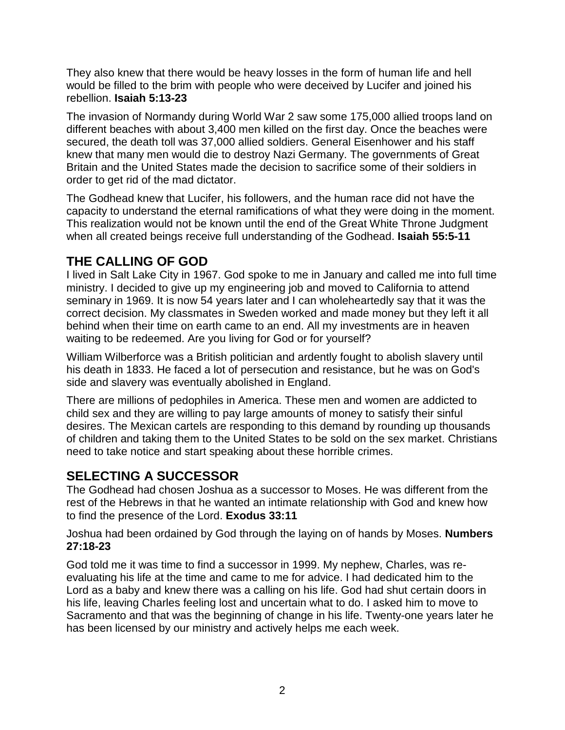They also knew that there would be heavy losses in the form of human life and hell would be filled to the brim with people who were deceived by Lucifer and joined his rebellion. **Isaiah 5:13-23**

The invasion of Normandy during World War 2 saw some 175,000 allied troops land on different beaches with about 3,400 men killed on the first day. Once the beaches were secured, the death toll was 37,000 allied soldiers. General Eisenhower and his staff knew that many men would die to destroy Nazi Germany. The governments of Great Britain and the United States made the decision to sacrifice some of their soldiers in order to get rid of the mad dictator.

The Godhead knew that Lucifer, his followers, and the human race did not have the capacity to understand the eternal ramifications of what they were doing in the moment. This realization would not be known until the end of the Great White Throne Judgment when all created beings receive full understanding of the Godhead. **Isaiah 55:5-11**

# **THE CALLING OF GOD**

I lived in Salt Lake City in 1967. God spoke to me in January and called me into full time ministry. I decided to give up my engineering job and moved to California to attend seminary in 1969. It is now 54 years later and I can wholeheartedly say that it was the correct decision. My classmates in Sweden worked and made money but they left it all behind when their time on earth came to an end. All my investments are in heaven waiting to be redeemed. Are you living for God or for yourself?

William Wilberforce was a British politician and ardently fought to abolish slavery until his death in 1833. He faced a lot of persecution and resistance, but he was on God's side and slavery was eventually abolished in England.

There are millions of pedophiles in America. These men and women are addicted to child sex and they are willing to pay large amounts of money to satisfy their sinful desires. The Mexican cartels are responding to this demand by rounding up thousands of children and taking them to the United States to be sold on the sex market. Christians need to take notice and start speaking about these horrible crimes.

## **SELECTING A SUCCESSOR**

The Godhead had chosen Joshua as a successor to Moses. He was different from the rest of the Hebrews in that he wanted an intimate relationship with God and knew how to find the presence of the Lord. **Exodus 33:11**

Joshua had been ordained by God through the laying on of hands by Moses. **Numbers 27:18-23**

God told me it was time to find a successor in 1999. My nephew, Charles, was reevaluating his life at the time and came to me for advice. I had dedicated him to the Lord as a baby and knew there was a calling on his life. God had shut certain doors in his life, leaving Charles feeling lost and uncertain what to do. I asked him to move to Sacramento and that was the beginning of change in his life. Twenty-one years later he has been licensed by our ministry and actively helps me each week.